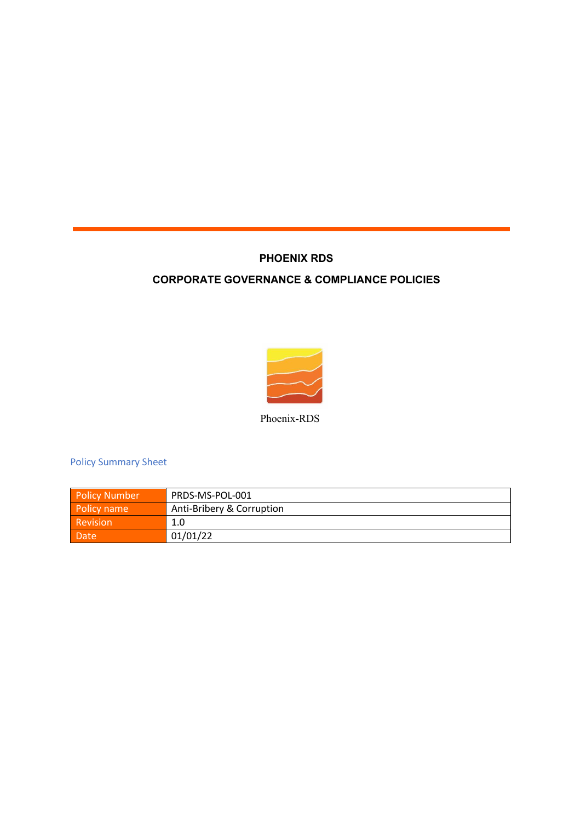## **PHOENIX RDS**

## **CORPORATE GOVERNANCE & COMPLIANCE POLICIES**



Phoenix-RDS

Policy Summary Sheet

| <b>Policy Number</b> | PRDS-MS-POL-001           |
|----------------------|---------------------------|
| Policy name          | Anti-Bribery & Corruption |
| Revision             | 1.0                       |
| Date                 | 01/01/22                  |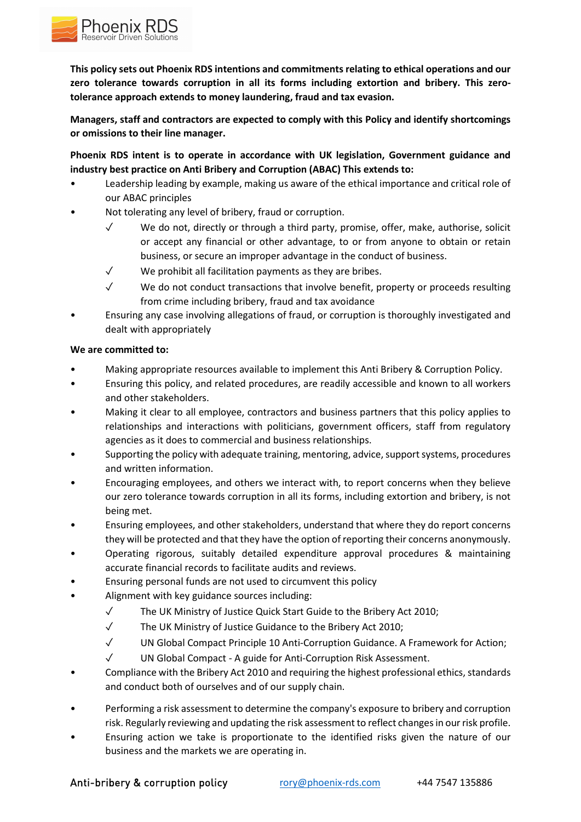

**This policy sets out Phoenix RDS intentions and commitments relating to ethical operations and our zero tolerance towards corruption in all its forms including extortion and bribery. This zerotolerance approach extends to money laundering, fraud and tax evasion.** 

**Managers, staff and contractors are expected to comply with this Policy and identify shortcomings or omissions to their line manager.** 

**Phoenix RDS intent is to operate in accordance with UK legislation, Government guidance and industry best practice on Anti Bribery and Corruption (ABAC) This extends to:**

- Leadership leading by example, making us aware of the ethical importance and critical role of our ABAC principles
- Not tolerating any level of bribery, fraud or corruption.
	- $\sqrt{ }$  We do not, directly or through a third party, promise, offer, make, authorise, solicit or accept any financial or other advantage, to or from anyone to obtain or retain business, or secure an improper advantage in the conduct of business.
	- ✓ We prohibit all facilitation payments as they are bribes.
	- $\checkmark$  We do not conduct transactions that involve benefit, property or proceeds resulting from crime including bribery, fraud and tax avoidance
- Ensuring any case involving allegations of fraud, or corruption is thoroughly investigated and dealt with appropriately

## **We are committed to:**

- Making appropriate resources available to implement this Anti Bribery & Corruption Policy.
- Ensuring this policy, and related procedures, are readily accessible and known to all workers and other stakeholders.
- Making it clear to all employee, contractors and business partners that this policy applies to relationships and interactions with politicians, government officers, staff from regulatory agencies as it does to commercial and business relationships.
- Supporting the policy with adequate training, mentoring, advice, support systems, procedures and written information.
- Encouraging employees, and others we interact with, to report concerns when they believe our zero tolerance towards corruption in all its forms, including extortion and bribery, is not being met.
- Ensuring employees, and other stakeholders, understand that where they do report concerns they will be protected and that they have the option of reporting their concerns anonymously.
- Operating rigorous, suitably detailed expenditure approval procedures & maintaining accurate financial records to facilitate audits and reviews.
- Ensuring personal funds are not used to circumvent this policy
- Alignment with key guidance sources including:
	- ✓ The UK Ministry of Justice Quick Start Guide to the Bribery Act 2010;
	- ✓ The UK Ministry of Justice Guidance to the Bribery Act 2010;
	- ✓ UN Global Compact Principle 10 Anti-Corruption Guidance. A Framework for Action;
	- ✓ UN Global Compact A guide for Anti-Corruption Risk Assessment.
- Compliance with the Bribery Act 2010 and requiring the highest professional ethics, standards and conduct both of ourselves and of our supply chain.
- Performing a risk assessment to determine the company's exposure to bribery and corruption risk. Regularly reviewing and updating the risk assessment to reflect changes in our risk profile.
- Ensuring action we take is proportionate to the identified risks given the nature of our business and the markets we are operating in.